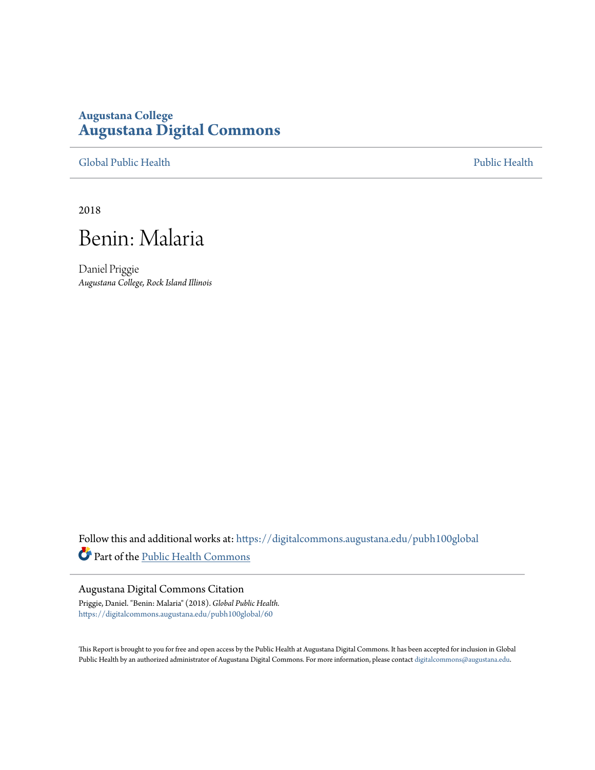## **Augustana College [Augustana Digital Commons](https://digitalcommons.augustana.edu?utm_source=digitalcommons.augustana.edu%2Fpubh100global%2F60&utm_medium=PDF&utm_campaign=PDFCoverPages)**

[Global Public Health](https://digitalcommons.augustana.edu/pubh100global?utm_source=digitalcommons.augustana.edu%2Fpubh100global%2F60&utm_medium=PDF&utm_campaign=PDFCoverPages) [Public Health](https://digitalcommons.augustana.edu/publichealth?utm_source=digitalcommons.augustana.edu%2Fpubh100global%2F60&utm_medium=PDF&utm_campaign=PDFCoverPages)

2018



Daniel Priggie *Augustana College, Rock Island Illinois*

Follow this and additional works at: [https://digitalcommons.augustana.edu/pubh100global](https://digitalcommons.augustana.edu/pubh100global?utm_source=digitalcommons.augustana.edu%2Fpubh100global%2F60&utm_medium=PDF&utm_campaign=PDFCoverPages) Part of the [Public Health Commons](http://network.bepress.com/hgg/discipline/738?utm_source=digitalcommons.augustana.edu%2Fpubh100global%2F60&utm_medium=PDF&utm_campaign=PDFCoverPages)

## Augustana Digital Commons Citation

Priggie, Daniel. "Benin: Malaria" (2018). *Global Public Health.* [https://digitalcommons.augustana.edu/pubh100global/60](https://digitalcommons.augustana.edu/pubh100global/60?utm_source=digitalcommons.augustana.edu%2Fpubh100global%2F60&utm_medium=PDF&utm_campaign=PDFCoverPages)

This Report is brought to you for free and open access by the Public Health at Augustana Digital Commons. It has been accepted for inclusion in Global Public Health by an authorized administrator of Augustana Digital Commons. For more information, please contact [digitalcommons@augustana.edu.](mailto:digitalcommons@augustana.edu)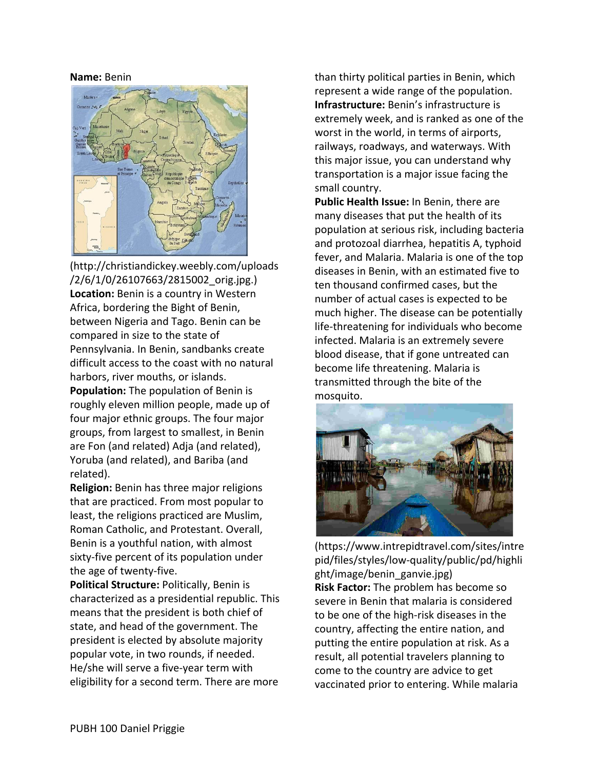## **Name:** Benin



(http://christiandickey.weebly.com/uploads /2/6/1/0/26107663/2815002\_orig.jpg.) **Location:** Benin is a country in Western Africa, bordering the Bight of Benin, between Nigeria and Tago. Benin can be compared in size to the state of Pennsylvania. In Benin, sandbanks create difficult access to the coast with no natural harbors, river mouths, or islands.

**Population:** The population of Benin is roughly eleven million people, made up of four major ethnic groups. The four major groups, from largest to smallest, in Benin are Fon (and related) Adja (and related), Yoruba (and related), and Bariba (and related).

**Religion:** Benin has three major religions that are practiced. From most popular to least, the religions practiced are Muslim, Roman Catholic, and Protestant. Overall, Benin is a youthful nation, with almost sixty-five percent of its population under the age of twenty-five.

**Political Structure:** Politically, Benin is characterized as a presidential republic. This means that the president is both chief of state, and head of the government. The president is elected by absolute majority popular vote, in two rounds, if needed. He/she will serve a five-year term with eligibility for a second term. There are more

than thirty political parties in Benin, which represent a wide range of the population. **Infrastructure:** Benin's infrastructure is extremely week, and is ranked as one of the worst in the world, in terms of airports, railways, roadways, and waterways. With this major issue, you can understand why transportation is a major issue facing the small country.

**Public Health Issue:** In Benin, there are many diseases that put the health of its population at serious risk, including bacteria and protozoal diarrhea, hepatitis A, typhoid fever, and Malaria. Malaria is one of the top diseases in Benin, with an estimated five to ten thousand confirmed cases, but the number of actual cases is expected to be much higher. The disease can be potentially life-threatening for individuals who become infected. Malaria is an extremely severe blood disease, that if gone untreated can become life threatening. Malaria is transmitted through the bite of the mosquito.



(https://www.intrepidtravel.com/sites/intre pid/files/styles/low-quality/public/pd/highli ght/image/benin\_ganvie.jpg) **Risk Factor:** The problem has become so severe in Benin that malaria is considered to be one of the high-risk diseases in the country, affecting the entire nation, and putting the entire population at risk. As a result, all potential travelers planning to come to the country are advice to get vaccinated prior to entering. While malaria